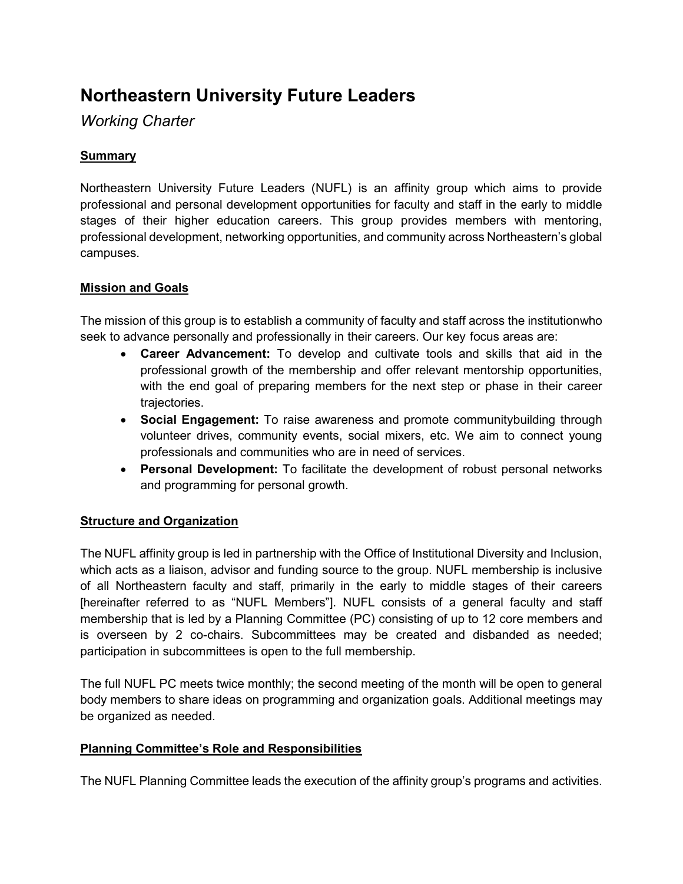# **Northeastern University Future Leaders**

*Working Charter*

# **Summary**

Northeastern University Future Leaders (NUFL) is an affinity group which aims to provide professional and personal development opportunities for faculty and staff in the early to middle stages of their higher education careers. This group provides members with mentoring, professional development, networking opportunities, and community across Northeastern's global campuses.

# **Mission and Goals**

The mission of this group is to establish a community of faculty and staff across the institutionwho seek to advance personally and professionally in their careers. Our key focus areas are:

- **Career Advancement:** To develop and cultivate tools and skills that aid in the professional growth of the membership and offer relevant mentorship opportunities, with the end goal of preparing members for the next step or phase in their career trajectories.
- **Social Engagement:** To raise awareness and promote communitybuilding through volunteer drives, community events, social mixers, etc. We aim to connect young professionals and communities who are in need of services.
- **Personal Development:** To facilitate the development of robust personal networks and programming for personal growth.

# **Structure and Organization**

The NUFL affinity group is led in partnership with the Office of Institutional Diversity and Inclusion, which acts as a liaison, advisor and funding source to the group. NUFL membership is inclusive of all Northeastern faculty and staff, primarily in the early to middle stages of their careers [hereinafter referred to as "NUFL Members"]. NUFL consists of a general faculty and staff membership that is led by a Planning Committee (PC) consisting of up to 12 core members and is overseen by 2 co-chairs. Subcommittees may be created and disbanded as needed; participation in subcommittees is open to the full membership.

The full NUFL PC meets twice monthly; the second meeting of the month will be open to general body members to share ideas on programming and organization goals. Additional meetings may be organized as needed.

#### **Planning Committee's Role and Responsibilities**

The NUFL Planning Committee leads the execution of the affinity group's programs and activities.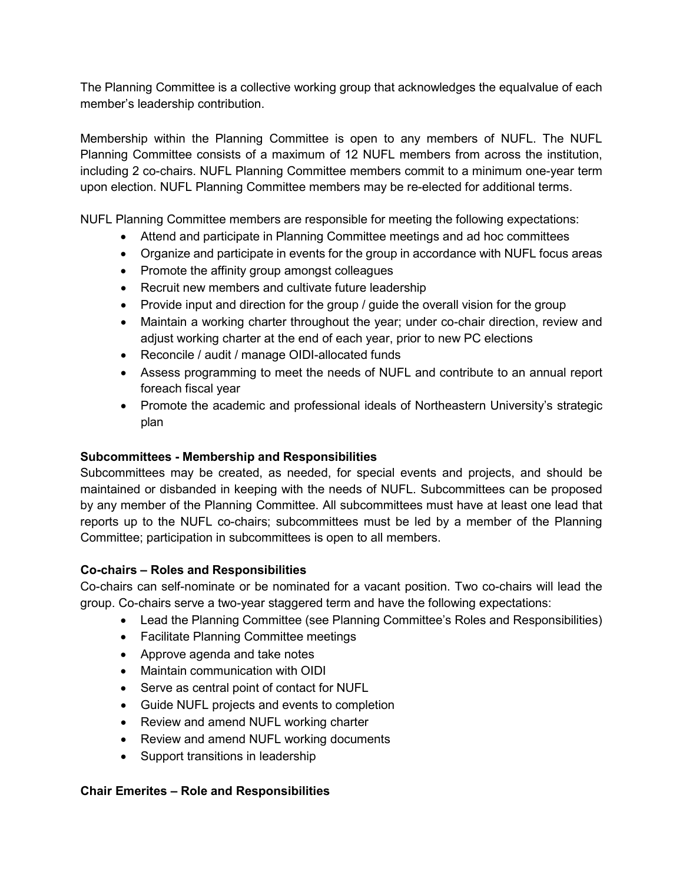The Planning Committee is a collective working group that acknowledges the equalvalue of each member's leadership contribution.

Membership within the Planning Committee is open to any members of NUFL. The NUFL Planning Committee consists of a maximum of 12 NUFL members from across the institution, including 2 co-chairs. NUFL Planning Committee members commit to a minimum one-year term upon election. NUFL Planning Committee members may be re-elected for additional terms.

NUFL Planning Committee members are responsible for meeting the following expectations:

- Attend and participate in Planning Committee meetings and ad hoc committees
- Organize and participate in events for the group in accordance with NUFL focus areas
- Promote the affinity group amongst colleagues
- Recruit new members and cultivate future leadership
- Provide input and direction for the group / guide the overall vision for the group
- Maintain a working charter throughout the year; under co-chair direction, review and adjust working charter at the end of each year, prior to new PC elections
- Reconcile / audit / manage OIDI-allocated funds
- Assess programming to meet the needs of NUFL and contribute to an annual report foreach fiscal year
- Promote the academic and professional ideals of Northeastern University's strategic plan

# **Subcommittees - Membership and Responsibilities**

Subcommittees may be created, as needed, for special events and projects, and should be maintained or disbanded in keeping with the needs of NUFL. Subcommittees can be proposed by any member of the Planning Committee. All subcommittees must have at least one lead that reports up to the NUFL co-chairs; subcommittees must be led by a member of the Planning Committee; participation in subcommittees is open to all members.

# **Co-chairs – Roles and Responsibilities**

Co-chairs can self-nominate or be nominated for a vacant position. Two co-chairs will lead the group. Co-chairs serve a two-year staggered term and have the following expectations:

- Lead the Planning Committee (see Planning Committee's Roles and Responsibilities)
- Facilitate Planning Committee meetings
- Approve agenda and take notes
- Maintain communication with OIDI
- Serve as central point of contact for NUFL
- Guide NUFL projects and events to completion
- Review and amend NUFL working charter
- Review and amend NUFL working documents
- Support transitions in leadership

# **Chair Emerites – Role and Responsibilities**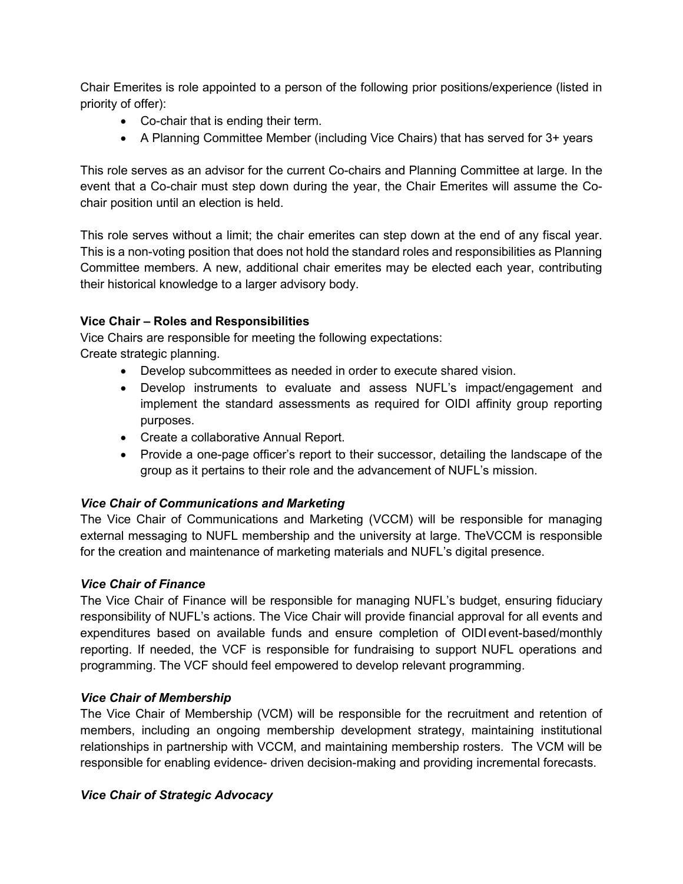Chair Emerites is role appointed to a person of the following prior positions/experience (listed in priority of offer):

- Co-chair that is ending their term.
- A Planning Committee Member (including Vice Chairs) that has served for 3+ years

This role serves as an advisor for the current Co-chairs and Planning Committee at large. In the event that a Co-chair must step down during the year, the Chair Emerites will assume the Cochair position until an election is held.

This role serves without a limit; the chair emerites can step down at the end of any fiscal year. This is a non-voting position that does not hold the standard roles and responsibilities as Planning Committee members. A new, additional chair emerites may be elected each year, contributing their historical knowledge to a larger advisory body.

# **Vice Chair – Roles and Responsibilities**

Vice Chairs are responsible for meeting the following expectations: Create strategic planning.

- Develop subcommittees as needed in order to execute shared vision.
- Develop instruments to evaluate and assess NUFL's impact/engagement and implement the standard assessments as required for OIDI affinity group reporting purposes.
- Create a collaborative Annual Report.
- Provide a one-page officer's report to their successor, detailing the landscape of the group as it pertains to their role and the advancement of NUFL's mission.

# *Vice Chair of Communications and Marketing*

The Vice Chair of Communications and Marketing (VCCM) will be responsible for managing external messaging to NUFL membership and the university at large. TheVCCM is responsible for the creation and maintenance of marketing materials and NUFL's digital presence.

# *Vice Chair of Finance*

The Vice Chair of Finance will be responsible for managing NUFL's budget, ensuring fiduciary responsibility of NUFL's actions. The Vice Chair will provide financial approval for all events and expenditures based on available funds and ensure completion of OIDI event-based/monthly reporting. If needed, the VCF is responsible for fundraising to support NUFL operations and programming. The VCF should feel empowered to develop relevant programming.

# *Vice Chair of Membership*

The Vice Chair of Membership (VCM) will be responsible for the recruitment and retention of members, including an ongoing membership development strategy, maintaining institutional relationships in partnership with VCCM, and maintaining membership rosters. The VCM will be responsible for enabling evidence- driven decision-making and providing incremental forecasts.

# *Vice Chair of Strategic Advocacy*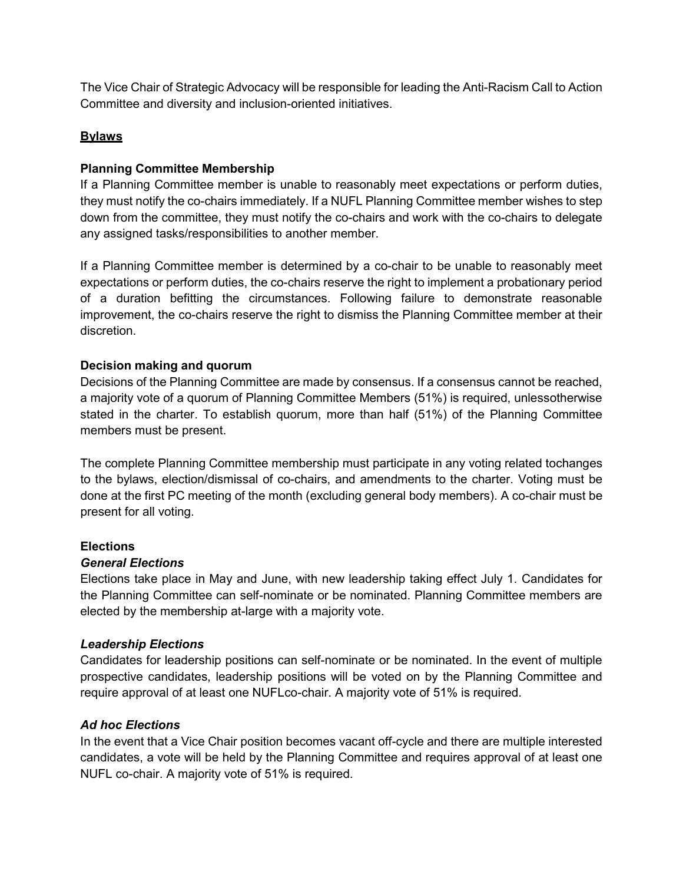The Vice Chair of Strategic Advocacy will be responsible for leading the Anti-Racism Call to Action Committee and diversity and inclusion-oriented initiatives.

#### **Bylaws**

#### **Planning Committee Membership**

If a Planning Committee member is unable to reasonably meet expectations or perform duties, they must notify the co-chairs immediately. If a NUFL Planning Committee member wishes to step down from the committee, they must notify the co-chairs and work with the co-chairs to delegate any assigned tasks/responsibilities to another member.

If a Planning Committee member is determined by a co-chair to be unable to reasonably meet expectations or perform duties, the co-chairs reserve the right to implement a probationary period of a duration befitting the circumstances. Following failure to demonstrate reasonable improvement, the co-chairs reserve the right to dismiss the Planning Committee member at their discretion.

#### **Decision making and quorum**

Decisions of the Planning Committee are made by consensus. If a consensus cannot be reached, a majority vote of a quorum of Planning Committee Members (51%) is required, unlessotherwise stated in the charter. To establish quorum, more than half (51%) of the Planning Committee members must be present.

The complete Planning Committee membership must participate in any voting related tochanges to the bylaws, election/dismissal of co-chairs, and amendments to the charter. Voting must be done at the first PC meeting of the month (excluding general body members). A co-chair must be present for all voting.

#### **Elections**

#### *General Elections*

Elections take place in May and June, with new leadership taking effect July 1. Candidates for the Planning Committee can self-nominate or be nominated. Planning Committee members are elected by the membership at-large with a majority vote.

#### *Leadership Elections*

Candidates for leadership positions can self-nominate or be nominated. In the event of multiple prospective candidates, leadership positions will be voted on by the Planning Committee and require approval of at least one NUFLco-chair. A majority vote of 51% is required.

#### *Ad hoc Elections*

In the event that a Vice Chair position becomes vacant off-cycle and there are multiple interested candidates, a vote will be held by the Planning Committee and requires approval of at least one NUFL co-chair. A majority vote of 51% is required.